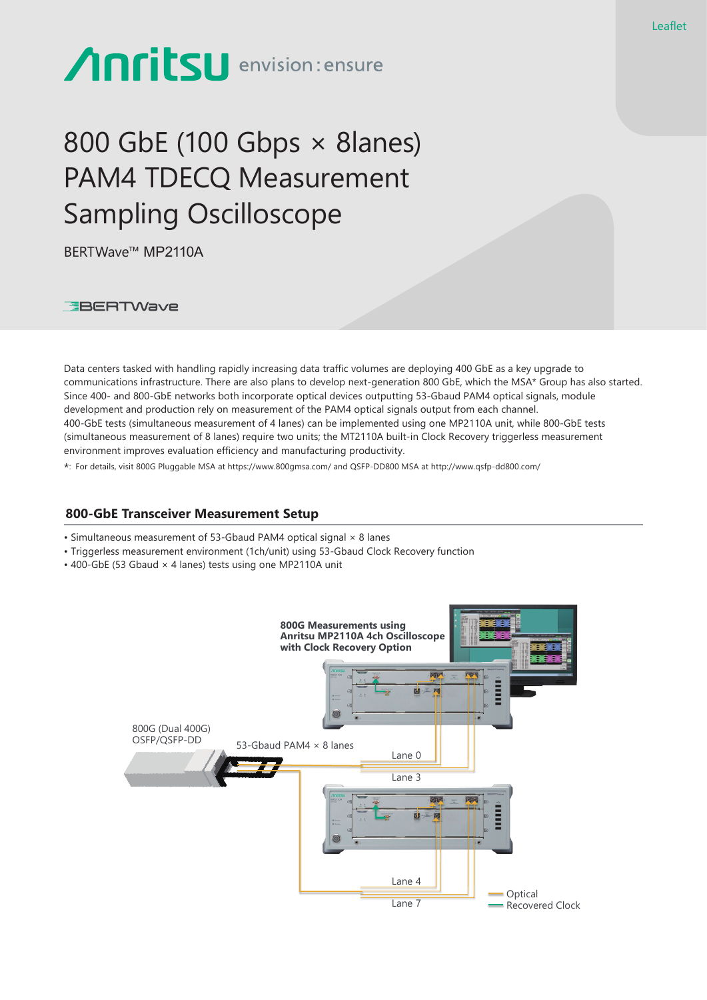# **Anritsu** envision: ensure

# 800 GbE (100 Gbps × 8lanes) PAM4 TDECQ Measurement Sampling Oscilloscope

BERTWave™ MP2110A

**EBERTWave** 

Data centers tasked with handling rapidly increasing data traffic volumes are deploying 400 GbE as a key upgrade to communications infrastructure. There are also plans to develop next-generation 800 GbE, which the MSA\* Group has also started. Since 400- and 800-GbE networks both incorporate optical devices outputting 53-Gbaud PAM4 optical signals, module development and production rely on measurement of the PAM4 optical signals output from each channel. 400-GbE tests (simultaneous measurement of 4 lanes) can be implemented using one MP2110A unit, while 800-GbE tests (simultaneous measurement of 8 lanes) require two units; the MT2110A built-in Clock Recovery triggerless measurement environment improves evaluation efficiency and manufacturing productivity.

\*: For details, visit 800G Pluggable MSA at https://www.800gmsa.com/ and QSFP-DD800 MSA at http://www.qsfp-dd800.com/

#### **800-GbE Transceiver Measurement Setup**

- Simultaneous measurement of 53-Gbaud PAM4 optical signal × 8 lanes
- Triggerless measurement environment (1ch/unit) using 53-Gbaud Clock Recovery function
- 400-GbE (53 Gbaud × 4 lanes) tests using one MP2110A unit